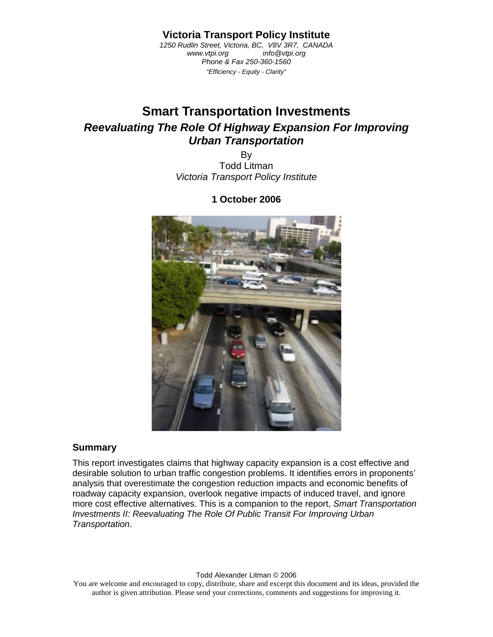**Victoria Transport Policy Institute** 

*1250 Rudlin Street, Victoria, BC, V8V 3R7, CANADA www.vtpi.org info@vtpi.org Phone & Fax 250-360-1560 "Efficiency - Equity - Clarity"* 

# **Smart Transportation Investments**  *Reevaluating The Role Of Highway Expansion For Improving Urban Transportation*

By Todd Litman *Victoria Transport Policy Institute* 

#### **1 October 2006**



#### **Summary**

This report investigates claims that highway capacity expansion is a cost effective and desirable solution to urban traffic congestion problems. It identifies errors in proponents' analysis that overestimate the congestion reduction impacts and economic benefits of roadway capacity expansion, overlook negative impacts of induced travel, and ignore more cost effective alternatives. This is a companion to the report, *Smart Transportation Investments II: Reevaluating The Role Of Public Transit For Improving Urban Transportation*.

#### Todd Alexander Litman © 2006

You are welcome and encouraged to copy, distribute, share and excerpt this document and its ideas, provided the author is given attribution. Please send your corrections, comments and suggestions for improving it.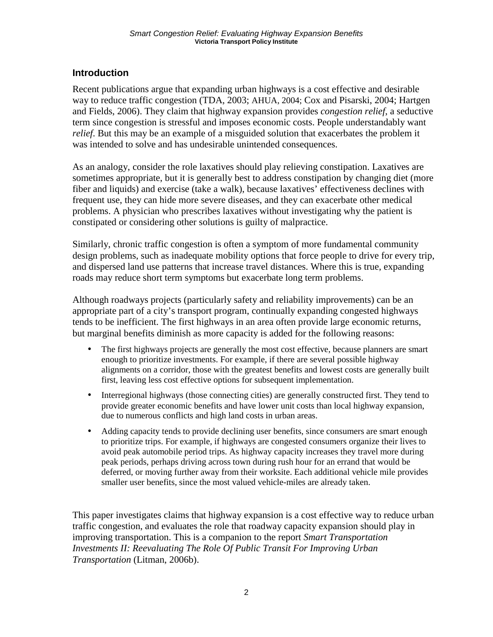### **Introduction**

Recent publications argue that expanding urban highways is a cost effective and desirable way to reduce traffic congestion (TDA, 2003; AHUA, 2004; Cox and Pisarski, 2004; Hartgen and Fields, 2006). They claim that highway expansion provides *congestion relief*, a seductive term since congestion is stressful and imposes economic costs. People understandably want *relief*. But this may be an example of a misguided solution that exacerbates the problem it was intended to solve and has undesirable unintended consequences.

As an analogy, consider the role laxatives should play relieving constipation. Laxatives are sometimes appropriate, but it is generally best to address constipation by changing diet (more fiber and liquids) and exercise (take a walk), because laxatives' effectiveness declines with frequent use, they can hide more severe diseases, and they can exacerbate other medical problems. A physician who prescribes laxatives without investigating why the patient is constipated or considering other solutions is guilty of malpractice.

Similarly, chronic traffic congestion is often a symptom of more fundamental community design problems, such as inadequate mobility options that force people to drive for every trip, and dispersed land use patterns that increase travel distances. Where this is true, expanding roads may reduce short term symptoms but exacerbate long term problems.

Although roadways projects (particularly safety and reliability improvements) can be an appropriate part of a city's transport program, continually expanding congested highways tends to be inefficient. The first highways in an area often provide large economic returns, but marginal benefits diminish as more capacity is added for the following reasons:

- The first highways projects are generally the most cost effective, because planners are smart enough to prioritize investments. For example, if there are several possible highway alignments on a corridor, those with the greatest benefits and lowest costs are generally built first, leaving less cost effective options for subsequent implementation.
- Interregional highways (those connecting cities) are generally constructed first. They tend to provide greater economic benefits and have lower unit costs than local highway expansion, due to numerous conflicts and high land costs in urban areas.
- Adding capacity tends to provide declining user benefits, since consumers are smart enough to prioritize trips. For example, if highways are congested consumers organize their lives to avoid peak automobile period trips. As highway capacity increases they travel more during peak periods, perhaps driving across town during rush hour for an errand that would be deferred, or moving further away from their worksite. Each additional vehicle mile provides smaller user benefits, since the most valued vehicle-miles are already taken.

This paper investigates claims that highway expansion is a cost effective way to reduce urban traffic congestion, and evaluates the role that roadway capacity expansion should play in improving transportation. This is a companion to the report *Smart Transportation Investments II: Reevaluating The Role Of Public Transit For Improving Urban Transportation* (Litman, 2006b).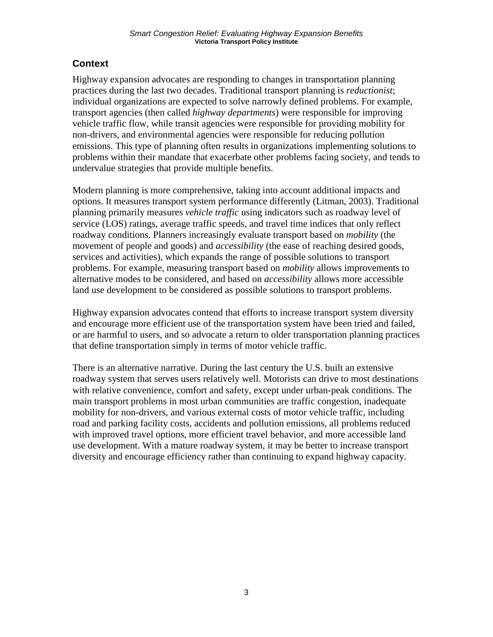### **Context**

Highway expansion advocates are responding to changes in transportation planning practices during the last two decades. Traditional transport planning is *reductionist*; individual organizations are expected to solve narrowly defined problems. For example, transport agencies (then called *highway departments*) were responsible for improving vehicle traffic flow, while transit agencies were responsible for providing mobility for non-drivers, and environmental agencies were responsible for reducing pollution emissions. This type of planning often results in organizations implementing solutions to problems within their mandate that exacerbate other problems facing society, and tends to undervalue strategies that provide multiple benefits.

Modern planning is more comprehensive, taking into account additional impacts and options. It measures transport system performance differently (Litman, 2003). Traditional planning primarily measures *vehicle traffic* using indicators such as roadway level of service (LOS) ratings, average traffic speeds, and travel time indices that only reflect roadway conditions. Planners increasingly evaluate transport based on *mobility* (the movement of people and goods) and *accessibility* (the ease of reaching desired goods, services and activities), which expands the range of possible solutions to transport problems. For example, measuring transport based on *mobility* allows improvements to alternative modes to be considered, and based on *accessibility* allows more accessible land use development to be considered as possible solutions to transport problems.

Highway expansion advocates contend that efforts to increase transport system diversity and encourage more efficient use of the transportation system have been tried and failed, or are harmful to users, and so advocate a return to older transportation planning practices that define transportation simply in terms of motor vehicle traffic.

There is an alternative narrative. During the last century the U.S. built an extensive roadway system that serves users relatively well. Motorists can drive to most destinations with relative convenience, comfort and safety, except under urban-peak conditions. The main transport problems in most urban communities are traffic congestion, inadequate mobility for non-drivers, and various external costs of motor vehicle traffic, including road and parking facility costs, accidents and pollution emissions, all problems reduced with improved travel options, more efficient travel behavior, and more accessible land use development. With a mature roadway system, it may be better to increase transport diversity and encourage efficiency rather than continuing to expand highway capacity.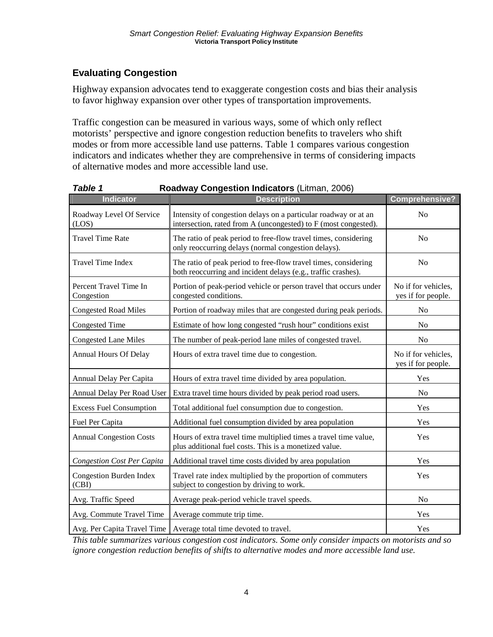# **Evaluating Congestion**

Highway expansion advocates tend to exaggerate congestion costs and bias their analysis to favor highway expansion over other types of transportation improvements.

Traffic congestion can be measured in various ways, some of which only reflect motorists' perspective and ignore congestion reduction benefits to travelers who shift modes or from more accessible land use patterns. Table 1 compares various congestion indicators and indicates whether they are comprehensive in terms of considering impacts of alternative modes and more accessible land use.

| <b>Indicator</b>                        | <b>Description</b>                                                                                                                 | <b>Comprehensive?</b>                     |
|-----------------------------------------|------------------------------------------------------------------------------------------------------------------------------------|-------------------------------------------|
| Roadway Level Of Service<br>(LOS)       | Intensity of congestion delays on a particular roadway or at an<br>intersection, rated from A (uncongested) to F (most congested). | No                                        |
| <b>Travel Time Rate</b>                 | The ratio of peak period to free-flow travel times, considering<br>only reoccurring delays (normal congestion delays).             | N <sub>o</sub>                            |
| <b>Travel Time Index</b>                | The ratio of peak period to free-flow travel times, considering<br>both reoccurring and incident delays (e.g., traffic crashes).   | N <sub>0</sub>                            |
| Percent Travel Time In<br>Congestion    | Portion of peak-period vehicle or person travel that occurs under<br>congested conditions.                                         | No if for vehicles,<br>yes if for people. |
| <b>Congested Road Miles</b>             | Portion of roadway miles that are congested during peak periods.                                                                   | No                                        |
| <b>Congested Time</b>                   | Estimate of how long congested "rush hour" conditions exist                                                                        | No                                        |
| <b>Congested Lane Miles</b>             | The number of peak-period lane miles of congested travel.                                                                          | N <sub>o</sub>                            |
| <b>Annual Hours Of Delay</b>            | Hours of extra travel time due to congestion.                                                                                      | No if for vehicles,<br>yes if for people. |
| Annual Delay Per Capita                 | Hours of extra travel time divided by area population.                                                                             | Yes                                       |
| Annual Delay Per Road User              | Extra travel time hours divided by peak period road users.                                                                         | N <sub>o</sub>                            |
| <b>Excess Fuel Consumption</b>          | Total additional fuel consumption due to congestion.                                                                               | Yes                                       |
| Fuel Per Capita                         | Additional fuel consumption divided by area population                                                                             | Yes                                       |
| <b>Annual Congestion Costs</b>          | Hours of extra travel time multiplied times a travel time value,<br>plus additional fuel costs. This is a monetized value.         | Yes                                       |
| <b>Congestion Cost Per Capita</b>       | Additional travel time costs divided by area population                                                                            | Yes                                       |
| <b>Congestion Burden Index</b><br>(CBI) | Travel rate index multiplied by the proportion of commuters<br>subject to congestion by driving to work.                           | Yes                                       |
| Avg. Traffic Speed                      | Average peak-period vehicle travel speeds.                                                                                         | N <sub>o</sub>                            |
| Avg. Commute Travel Time                | Average commute trip time.                                                                                                         | Yes                                       |
| Avg. Per Capita Travel Time             | Average total time devoted to travel.                                                                                              | Yes                                       |

*Table 1* **Roadway Congestion Indicators** (Litman, 2006)

*This table summarizes various congestion cost indicators. Some only consider impacts on motorists and so ignore congestion reduction benefits of shifts to alternative modes and more accessible land use.*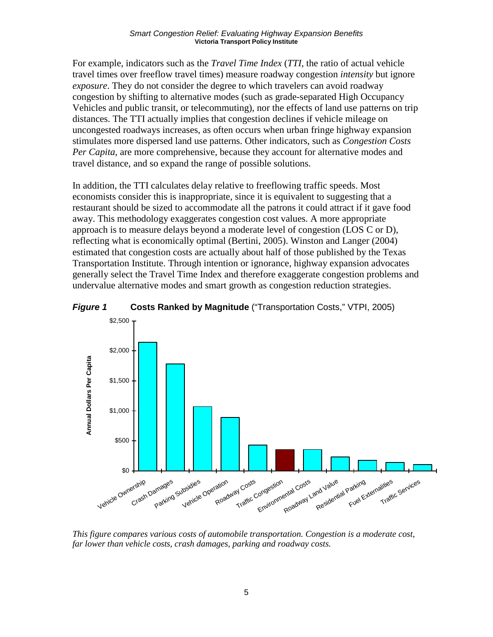#### *Smart Congestion Relief: Evaluating Highway Expansion Benefits*  **Victoria Transport Policy Institute**

For example, indicators such as the *Travel Time Index* (*TTI*, the ratio of actual vehicle travel times over freeflow travel times) measure roadway congestion *intensity* but ignore *exposure*. They do not consider the degree to which travelers can avoid roadway congestion by shifting to alternative modes (such as grade-separated High Occupancy Vehicles and public transit, or telecommuting), nor the effects of land use patterns on trip distances. The TTI actually implies that congestion declines if vehicle mileage on uncongested roadways increases, as often occurs when urban fringe highway expansion stimulates more dispersed land use patterns. Other indicators, such as *Congestion Costs Per Capita*, are more comprehensive, because they account for alternative modes and travel distance, and so expand the range of possible solutions.

In addition, the TTI calculates delay relative to freeflowing traffic speeds. Most economists consider this is inappropriate, since it is equivalent to suggesting that a restaurant should be sized to accommodate all the patrons it could attract if it gave food away. This methodology exaggerates congestion cost values. A more appropriate approach is to measure delays beyond a moderate level of congestion (LOS C or D), reflecting what is economically optimal (Bertini, 2005). Winston and Langer (2004) estimated that congestion costs are actually about half of those published by the Texas Transportation Institute. Through intention or ignorance, highway expansion advocates generally select the Travel Time Index and therefore exaggerate congestion problems and undervalue alternative modes and smart growth as congestion reduction strategies.





*This figure compares various costs of automobile transportation. Congestion is a moderate cost, far lower than vehicle costs, crash damages, parking and roadway costs.*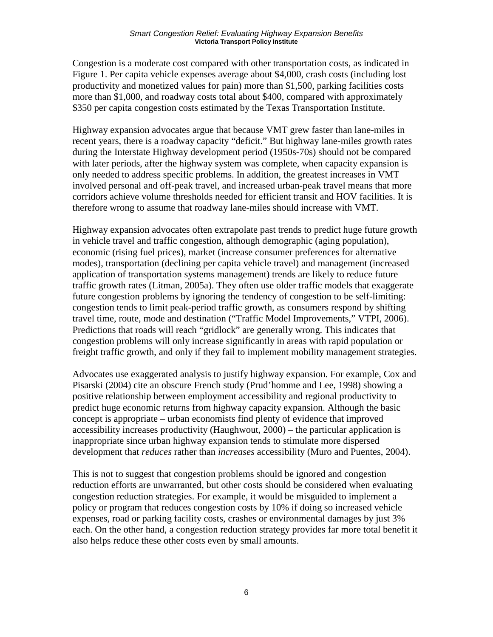Congestion is a moderate cost compared with other transportation costs, as indicated in Figure 1. Per capita vehicle expenses average about \$4,000, crash costs (including lost productivity and monetized values for pain) more than \$1,500, parking facilities costs more than \$1,000, and roadway costs total about \$400, compared with approximately \$350 per capita congestion costs estimated by the Texas Transportation Institute.

Highway expansion advocates argue that because VMT grew faster than lane-miles in recent years, there is a roadway capacity "deficit." But highway lane-miles growth rates during the Interstate Highway development period (1950s-70s) should not be compared with later periods, after the highway system was complete, when capacity expansion is only needed to address specific problems. In addition, the greatest increases in VMT involved personal and off-peak travel, and increased urban-peak travel means that more corridors achieve volume thresholds needed for efficient transit and HOV facilities. It is therefore wrong to assume that roadway lane-miles should increase with VMT.

Highway expansion advocates often extrapolate past trends to predict huge future growth in vehicle travel and traffic congestion, although demographic (aging population), economic (rising fuel prices), market (increase consumer preferences for alternative modes), transportation (declining per capita vehicle travel) and management (increased application of transportation systems management) trends are likely to reduce future traffic growth rates (Litman, 2005a). They often use older traffic models that exaggerate future congestion problems by ignoring the tendency of congestion to be self-limiting: congestion tends to limit peak-period traffic growth, as consumers respond by shifting travel time, route, mode and destination ("Traffic Model Improvements," VTPI, 2006). Predictions that roads will reach "gridlock" are generally wrong. This indicates that congestion problems will only increase significantly in areas with rapid population or freight traffic growth, and only if they fail to implement mobility management strategies.

Advocates use exaggerated analysis to justify highway expansion. For example, Cox and Pisarski (2004) cite an obscure French study (Prud'homme and Lee, 1998) showing a positive relationship between employment accessibility and regional productivity to predict huge economic returns from highway capacity expansion. Although the basic concept is appropriate – urban economists find plenty of evidence that improved accessibility increases productivity (Haughwout, 2000) – the particular application is inappropriate since urban highway expansion tends to stimulate more dispersed development that *reduces* rather than *increases* accessibility (Muro and Puentes, 2004).

This is not to suggest that congestion problems should be ignored and congestion reduction efforts are unwarranted, but other costs should be considered when evaluating congestion reduction strategies. For example, it would be misguided to implement a policy or program that reduces congestion costs by 10% if doing so increased vehicle expenses, road or parking facility costs, crashes or environmental damages by just 3% each. On the other hand, a congestion reduction strategy provides far more total benefit it also helps reduce these other costs even by small amounts.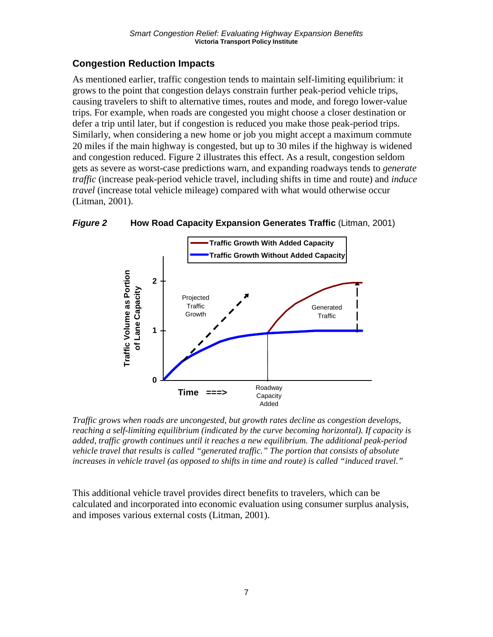# **Congestion Reduction Impacts**

As mentioned earlier, traffic congestion tends to maintain self-limiting equilibrium: it grows to the point that congestion delays constrain further peak-period vehicle trips, causing travelers to shift to alternative times, routes and mode, and forego lower-value trips. For example, when roads are congested you might choose a closer destination or defer a trip until later, but if congestion is reduced you make those peak-period trips. Similarly, when considering a new home or job you might accept a maximum commute 20 miles if the main highway is congested, but up to 30 miles if the highway is widened and congestion reduced. Figure 2 illustrates this effect. As a result, congestion seldom gets as severe as worst-case predictions warn, and expanding roadways tends to *generate traffic* (increase peak-period vehicle travel, including shifts in time and route) and *induce travel* (increase total vehicle mileage) compared with what would otherwise occur (Litman, 2001).



*Figure 2* **How Road Capacity Expansion Generates Traffic** (Litman, 2001)

*Traffic grows when roads are uncongested, but growth rates decline as congestion develops, reaching a self-limiting equilibrium (indicated by the curve becoming horizontal). If capacity is added, traffic growth continues until it reaches a new equilibrium. The additional peak-period vehicle travel that results is called "generated traffic." The portion that consists of absolute increases in vehicle travel (as opposed to shifts in time and route) is called "induced travel."* 

This additional vehicle travel provides direct benefits to travelers, which can be calculated and incorporated into economic evaluation using consumer surplus analysis, and imposes various external costs (Litman, 2001).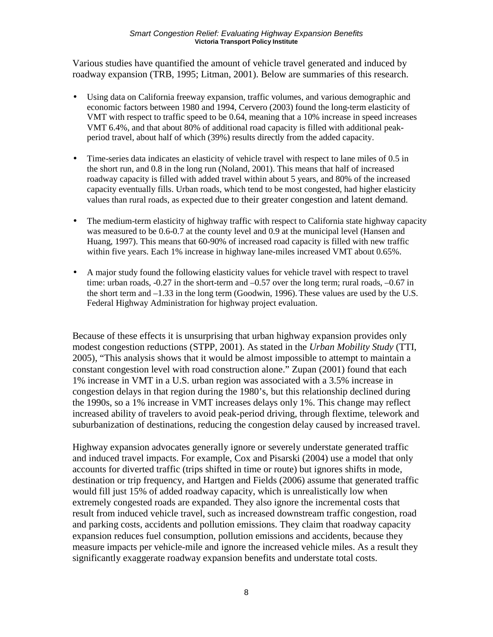Various studies have quantified the amount of vehicle travel generated and induced by roadway expansion (TRB, 1995; Litman, 2001). Below are summaries of this research.

- Using data on California freeway expansion, traffic volumes, and various demographic and economic factors between 1980 and 1994, Cervero (2003) found the long-term elasticity of VMT with respect to traffic speed to be 0.64, meaning that a 10% increase in speed increases VMT 6.4%, and that about 80% of additional road capacity is filled with additional peakperiod travel, about half of which (39%) results directly from the added capacity.
- Time-series data indicates an elasticity of vehicle travel with respect to lane miles of 0.5 in the short run, and 0.8 in the long run (Noland, 2001). This means that half of increased roadway capacity is filled with added travel within about 5 years, and 80% of the increased capacity eventually fills. Urban roads, which tend to be most congested, had higher elasticity values than rural roads, as expected due to their greater congestion and latent demand.
- The medium-term elasticity of highway traffic with respect to California state highway capacity was measured to be 0.6-0.7 at the county level and 0.9 at the municipal level (Hansen and Huang, 1997). This means that 60-90% of increased road capacity is filled with new traffic within five years. Each 1% increase in highway lane-miles increased VMT about 0.65%.
- A major study found the following elasticity values for vehicle travel with respect to travel time: urban roads, -0.27 in the short-term and –0.57 over the long term; rural roads, –0.67 in the short term and  $-1.33$  in the long term (Goodwin, 1996). These values are used by the U.S. Federal Highway Administration for highway project evaluation.

Because of these effects it is unsurprising that urban highway expansion provides only modest congestion reductions (STPP, 2001). As stated in the *Urban Mobility Study* (TTI, 2005), "This analysis shows that it would be almost impossible to attempt to maintain a constant congestion level with road construction alone." Zupan (2001) found that each 1% increase in VMT in a U.S. urban region was associated with a 3.5% increase in congestion delays in that region during the 1980's, but this relationship declined during the 1990s, so a 1% increase in VMT increases delays only 1%. This change may reflect increased ability of travelers to avoid peak-period driving, through flextime, telework and suburbanization of destinations, reducing the congestion delay caused by increased travel.

Highway expansion advocates generally ignore or severely understate generated traffic and induced travel impacts. For example, Cox and Pisarski (2004) use a model that only accounts for diverted traffic (trips shifted in time or route) but ignores shifts in mode, destination or trip frequency, and Hartgen and Fields (2006) assume that generated traffic would fill just 15% of added roadway capacity, which is unrealistically low when extremely congested roads are expanded. They also ignore the incremental costs that result from induced vehicle travel, such as increased downstream traffic congestion, road and parking costs, accidents and pollution emissions. They claim that roadway capacity expansion reduces fuel consumption, pollution emissions and accidents, because they measure impacts per vehicle-mile and ignore the increased vehicle miles. As a result they significantly exaggerate roadway expansion benefits and understate total costs.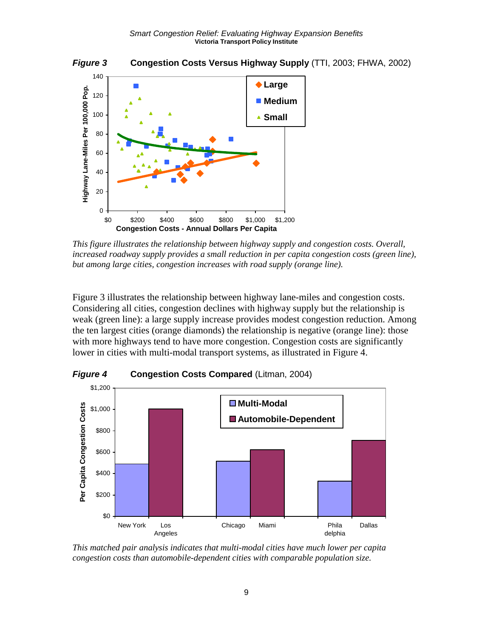*Figure 3* **Congestion Costs Versus Highway Supply** (TTI, 2003; FHWA, 2002)



*This figure illustrates the relationship between highway supply and congestion costs. Overall, increased roadway supply provides a small reduction in per capita congestion costs (green line), but among large cities, congestion increases with road supply (orange line).* 

Figure 3 illustrates the relationship between highway lane-miles and congestion costs. Considering all cities, congestion declines with highway supply but the relationship is weak (green line): a large supply increase provides modest congestion reduction. Among the ten largest cities (orange diamonds) the relationship is negative (orange line): those with more highways tend to have more congestion. Congestion costs are significantly lower in cities with multi-modal transport systems, as illustrated in Figure 4.



*Figure 4* **Congestion Costs Compared** (Litman, 2004)

*This matched pair analysis indicates that multi-modal cities have much lower per capita congestion costs than automobile-dependent cities with comparable population size.*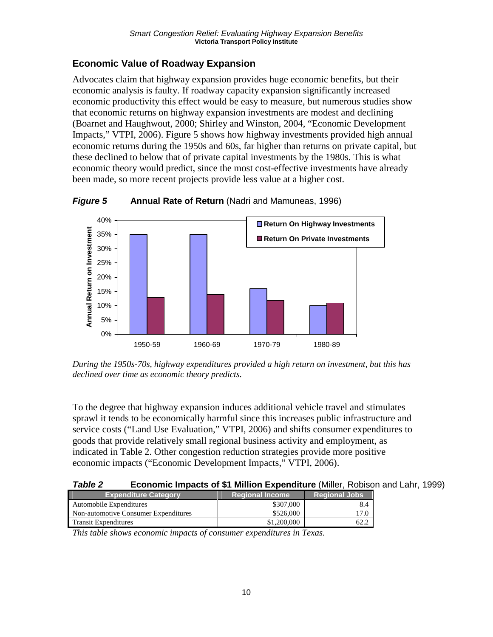### **Economic Value of Roadway Expansion**

Advocates claim that highway expansion provides huge economic benefits, but their economic analysis is faulty. If roadway capacity expansion significantly increased economic productivity this effect would be easy to measure, but numerous studies show that economic returns on highway expansion investments are modest and declining (Boarnet and Haughwout, 2000; Shirley and Winston, 2004, "Economic Development Impacts," VTPI, 2006). Figure 5 shows how highway investments provided high annual economic returns during the 1950s and 60s, far higher than returns on private capital, but these declined to below that of private capital investments by the 1980s. This is what economic theory would predict, since the most cost-effective investments have already been made, so more recent projects provide less value at a higher cost.



*Figure 5* **Annual Rate of Return** (Nadri and Mamuneas, 1996)

*During the 1950s-70s, highway expenditures provided a high return on investment, but this has declined over time as economic theory predicts.* 

To the degree that highway expansion induces additional vehicle travel and stimulates sprawl it tends to be economically harmful since this increases public infrastructure and service costs ("Land Use Evaluation," VTPI, 2006) and shifts consumer expenditures to goods that provide relatively small regional business activity and employment, as indicated in Table 2. Other congestion reduction strategies provide more positive economic impacts ("Economic Development Impacts," VTPI, 2006).

#### *Table 2* **Economic Impacts of \$1 Million Expenditure** (Miller, Robison and Lahr, 1999)

| <b>Expenditure Category</b>          | <b>Regional Income</b> |             | <b>Regional Jobs</b> |
|--------------------------------------|------------------------|-------------|----------------------|
| Automobile Expenditures              |                        | \$307,000   | 8.4                  |
| Non-automotive Consumer Expenditures |                        | \$526,000   |                      |
| <b>Transit Expenditures</b>          |                        | \$1,200,000 |                      |
|                                      |                        |             |                      |

*This table shows economic impacts of consumer expenditures in Texas.*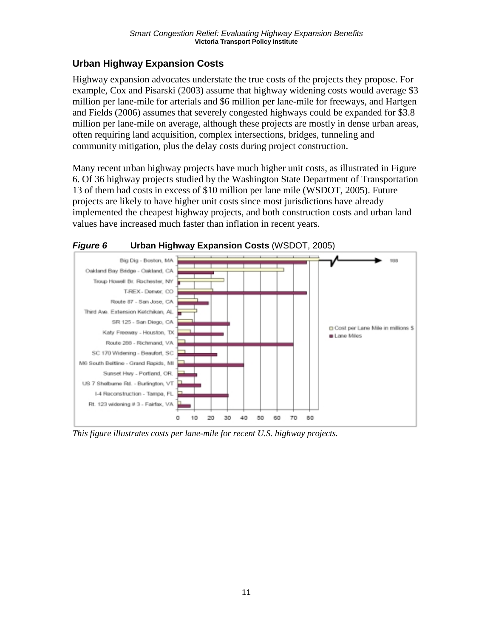## **Urban Highway Expansion Costs**

Highway expansion advocates understate the true costs of the projects they propose. For example, Cox and Pisarski (2003) assume that highway widening costs would average \$3 million per lane-mile for arterials and \$6 million per lane-mile for freeways, and Hartgen and Fields (2006) assumes that severely congested highways could be expanded for \$3.8 million per lane-mile on average, although these projects are mostly in dense urban areas, often requiring land acquisition, complex intersections, bridges, tunneling and community mitigation, plus the delay costs during project construction.

Many recent urban highway projects have much higher unit costs, as illustrated in Figure 6. Of 36 highway projects studied by the Washington State Department of Transportation 13 of them had costs in excess of \$10 million per lane mile (WSDOT, 2005). Future projects are likely to have higher unit costs since most jurisdictions have already implemented the cheapest highway projects, and both construction costs and urban land values have increased much faster than inflation in recent years.



*Figure 6* **Urban Highway Expansion Costs** (WSDOT, 2005)

*This figure illustrates costs per lane-mile for recent U.S. highway projects.*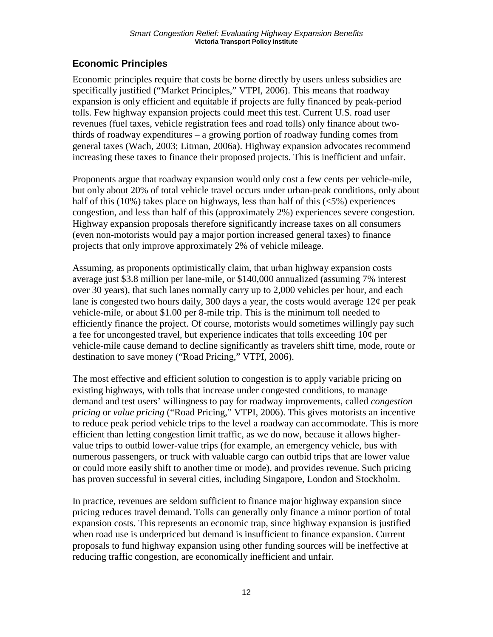# **Economic Principles**

Economic principles require that costs be borne directly by users unless subsidies are specifically justified ("Market Principles," VTPI, 2006). This means that roadway expansion is only efficient and equitable if projects are fully financed by peak-period tolls. Few highway expansion projects could meet this test. Current U.S. road user revenues (fuel taxes, vehicle registration fees and road tolls) only finance about twothirds of roadway expenditures – a growing portion of roadway funding comes from general taxes (Wach, 2003; Litman, 2006a). Highway expansion advocates recommend increasing these taxes to finance their proposed projects. This is inefficient and unfair.

Proponents argue that roadway expansion would only cost a few cents per vehicle-mile, but only about 20% of total vehicle travel occurs under urban-peak conditions, only about half of this  $(10\%)$  takes place on highways, less than half of this  $(5\%)$  experiences congestion, and less than half of this (approximately 2%) experiences severe congestion. Highway expansion proposals therefore significantly increase taxes on all consumers (even non-motorists would pay a major portion increased general taxes) to finance projects that only improve approximately 2% of vehicle mileage.

Assuming, as proponents optimistically claim, that urban highway expansion costs average just \$3.8 million per lane-mile, or \$140,000 annualized (assuming 7% interest over 30 years), that such lanes normally carry up to 2,000 vehicles per hour, and each lane is congested two hours daily, 300 days a year, the costs would average  $12¢$  per peak vehicle-mile, or about \$1.00 per 8-mile trip. This is the minimum toll needed to efficiently finance the project. Of course, motorists would sometimes willingly pay such a fee for uncongested travel, but experience indicates that tolls exceeding 10¢ per vehicle-mile cause demand to decline significantly as travelers shift time, mode, route or destination to save money ("Road Pricing," VTPI, 2006).

The most effective and efficient solution to congestion is to apply variable pricing on existing highways, with tolls that increase under congested conditions, to manage demand and test users' willingness to pay for roadway improvements, called *congestion pricing* or *value pricing* ("Road Pricing," VTPI, 2006). This gives motorists an incentive to reduce peak period vehicle trips to the level a roadway can accommodate. This is more efficient than letting congestion limit traffic, as we do now, because it allows highervalue trips to outbid lower-value trips (for example, an emergency vehicle, bus with numerous passengers, or truck with valuable cargo can outbid trips that are lower value or could more easily shift to another time or mode), and provides revenue. Such pricing has proven successful in several cities, including Singapore, London and Stockholm.

In practice, revenues are seldom sufficient to finance major highway expansion since pricing reduces travel demand. Tolls can generally only finance a minor portion of total expansion costs. This represents an economic trap, since highway expansion is justified when road use is underpriced but demand is insufficient to finance expansion. Current proposals to fund highway expansion using other funding sources will be ineffective at reducing traffic congestion, are economically inefficient and unfair.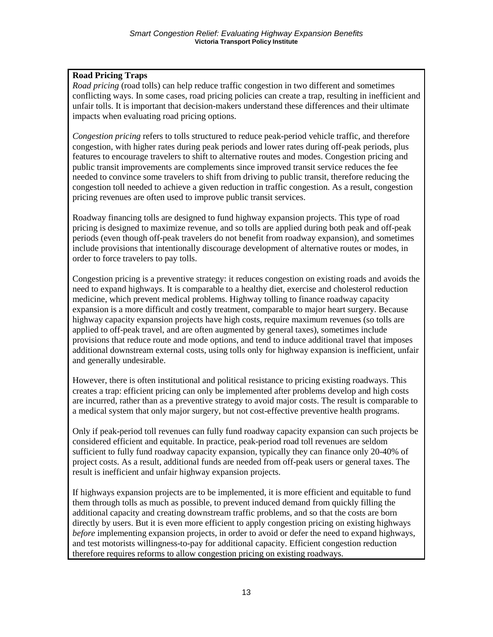#### **Road Pricing Traps**

*Road pricing* (road tolls) can help reduce traffic congestion in two different and sometimes conflicting ways. In some cases, road pricing policies can create a trap, resulting in inefficient and unfair tolls. It is important that decision-makers understand these differences and their ultimate impacts when evaluating road pricing options.

*Congestion pricing* refers to tolls structured to reduce peak-period vehicle traffic, and therefore congestion, with higher rates during peak periods and lower rates during off-peak periods, plus features to encourage travelers to shift to alternative routes and modes. Congestion pricing and public transit improvements are complements since improved transit service reduces the fee needed to convince some travelers to shift from driving to public transit, therefore reducing the congestion toll needed to achieve a given reduction in traffic congestion. As a result, congestion pricing revenues are often used to improve public transit services.

Roadway financing tolls are designed to fund highway expansion projects. This type of road pricing is designed to maximize revenue, and so tolls are applied during both peak and off-peak periods (even though off-peak travelers do not benefit from roadway expansion), and sometimes include provisions that intentionally discourage development of alternative routes or modes, in order to force travelers to pay tolls.

Congestion pricing is a preventive strategy: it reduces congestion on existing roads and avoids the need to expand highways. It is comparable to a healthy diet, exercise and cholesterol reduction medicine, which prevent medical problems. Highway tolling to finance roadway capacity expansion is a more difficult and costly treatment, comparable to major heart surgery. Because highway capacity expansion projects have high costs, require maximum revenues (so tolls are applied to off-peak travel, and are often augmented by general taxes), sometimes include provisions that reduce route and mode options, and tend to induce additional travel that imposes additional downstream external costs, using tolls only for highway expansion is inefficient, unfair and generally undesirable.

However, there is often institutional and political resistance to pricing existing roadways. This creates a trap: efficient pricing can only be implemented after problems develop and high costs are incurred, rather than as a preventive strategy to avoid major costs. The result is comparable to a medical system that only major surgery, but not cost-effective preventive health programs.

Only if peak-period toll revenues can fully fund roadway capacity expansion can such projects be considered efficient and equitable. In practice, peak-period road toll revenues are seldom sufficient to fully fund roadway capacity expansion, typically they can finance only 20-40% of project costs. As a result, additional funds are needed from off-peak users or general taxes. The result is inefficient and unfair highway expansion projects.

If highways expansion projects are to be implemented, it is more efficient and equitable to fund them through tolls as much as possible, to prevent induced demand from quickly filling the additional capacity and creating downstream traffic problems, and so that the costs are born directly by users. But it is even more efficient to apply congestion pricing on existing highways *before* implementing expansion projects, in order to avoid or defer the need to expand highways, and test motorists willingness-to-pay for additional capacity. Efficient congestion reduction therefore requires reforms to allow congestion pricing on existing roadways.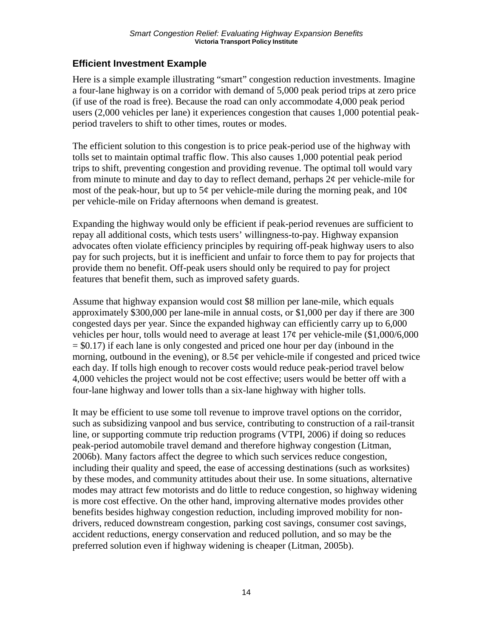#### **Efficient Investment Example**

Here is a simple example illustrating "smart" congestion reduction investments. Imagine a four-lane highway is on a corridor with demand of 5,000 peak period trips at zero price (if use of the road is free). Because the road can only accommodate 4,000 peak period users (2,000 vehicles per lane) it experiences congestion that causes 1,000 potential peakperiod travelers to shift to other times, routes or modes.

The efficient solution to this congestion is to price peak-period use of the highway with tolls set to maintain optimal traffic flow. This also causes 1,000 potential peak period trips to shift, preventing congestion and providing revenue. The optimal toll would vary from minute to minute and day to day to reflect demand, perhaps  $2\phi$  per vehicle-mile for most of the peak-hour, but up to  $5¢$  per vehicle-mile during the morning peak, and  $10¢$ per vehicle-mile on Friday afternoons when demand is greatest.

Expanding the highway would only be efficient if peak-period revenues are sufficient to repay all additional costs, which tests users' willingness-to-pay. Highway expansion advocates often violate efficiency principles by requiring off-peak highway users to also pay for such projects, but it is inefficient and unfair to force them to pay for projects that provide them no benefit. Off-peak users should only be required to pay for project features that benefit them, such as improved safety guards.

Assume that highway expansion would cost \$8 million per lane-mile, which equals approximately \$300,000 per lane-mile in annual costs, or \$1,000 per day if there are 300 congested days per year. Since the expanded highway can efficiently carry up to 6,000 vehicles per hour, tolls would need to average at least 17¢ per vehicle-mile (\$1,000/6,000  $=$  \$0.17) if each lane is only congested and priced one hour per day (inbound in the morning, outbound in the evening), or  $8.5¢$  per vehicle-mile if congested and priced twice each day. If tolls high enough to recover costs would reduce peak-period travel below 4,000 vehicles the project would not be cost effective; users would be better off with a four-lane highway and lower tolls than a six-lane highway with higher tolls.

It may be efficient to use some toll revenue to improve travel options on the corridor, such as subsidizing vanpool and bus service, contributing to construction of a rail-transit line, or supporting commute trip reduction programs (VTPI, 2006) if doing so reduces peak-period automobile travel demand and therefore highway congestion (Litman, 2006b). Many factors affect the degree to which such services reduce congestion, including their quality and speed, the ease of accessing destinations (such as worksites) by these modes, and community attitudes about their use. In some situations, alternative modes may attract few motorists and do little to reduce congestion, so highway widening is more cost effective. On the other hand, improving alternative modes provides other benefits besides highway congestion reduction, including improved mobility for nondrivers, reduced downstream congestion, parking cost savings, consumer cost savings, accident reductions, energy conservation and reduced pollution, and so may be the preferred solution even if highway widening is cheaper (Litman, 2005b).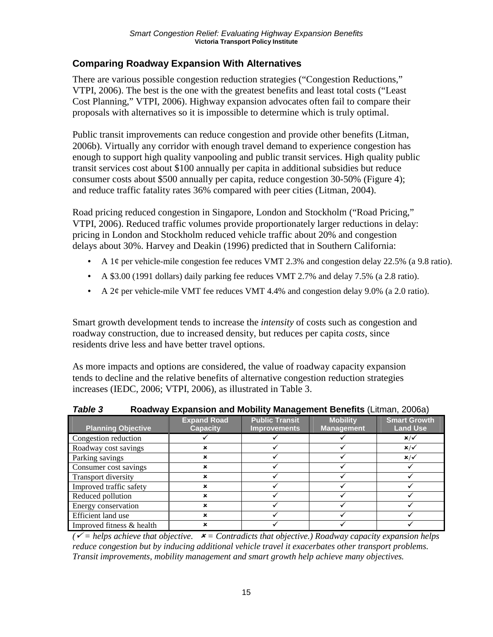#### **Comparing Roadway Expansion With Alternatives**

There are various possible congestion reduction strategies ("Congestion Reductions," VTPI, 2006). The best is the one with the greatest benefits and least total costs ("Least Cost Planning," VTPI, 2006). Highway expansion advocates often fail to compare their proposals with alternatives so it is impossible to determine which is truly optimal.

Public transit improvements can reduce congestion and provide other benefits (Litman, 2006b). Virtually any corridor with enough travel demand to experience congestion has enough to support high quality vanpooling and public transit services. High quality public transit services cost about \$100 annually per capita in additional subsidies but reduce consumer costs about \$500 annually per capita, reduce congestion 30-50% (Figure 4); and reduce traffic fatality rates 36% compared with peer cities (Litman, 2004).

Road pricing reduced congestion in Singapore, London and Stockholm ("Road Pricing," VTPI, 2006). Reduced traffic volumes provide proportionately larger reductions in delay: pricing in London and Stockholm reduced vehicle traffic about 20% and congestion delays about 30%. Harvey and Deakin (1996) predicted that in Southern California:

- A 1¢ per vehicle-mile congestion fee reduces VMT 2.3% and congestion delay 22.5% (a 9.8 ratio).
- A \$3.00 (1991 dollars) daily parking fee reduces VMT 2.7% and delay 7.5% (a 2.8 ratio).
- A 2¢ per vehicle-mile VMT fee reduces VMT 4.4% and congestion delay 9.0% (a 2.0 ratio).

Smart growth development tends to increase the *intensity* of costs such as congestion and roadway construction, due to increased density, but reduces per capita *costs*, since residents drive less and have better travel options.

As more impacts and options are considered, the value of roadway capacity expansion tends to decline and the relative benefits of alternative congestion reduction strategies increases (IEDC, 2006; VTPI, 2006), as illustrated in Table 3.

| ,                         | $\mathbf{a}$                          |                                              |                                      |                                        |  |
|---------------------------|---------------------------------------|----------------------------------------------|--------------------------------------|----------------------------------------|--|
| <b>Planning Objective</b> | <b>Expand Road</b><br><b>Capacity</b> | <b>Public Transit</b><br><b>Improvements</b> | <b>Mobility</b><br><b>Management</b> | <b>Smart Growth</b><br><b>Land Use</b> |  |
| Congestion reduction      |                                       |                                              |                                      | $x/\checkmark$                         |  |
| Roadway cost savings      |                                       |                                              |                                      | $x/\checkmark$                         |  |
| Parking savings           |                                       |                                              |                                      | $x/\checkmark$                         |  |
| Consumer cost savings     | ×                                     |                                              |                                      |                                        |  |
| Transport diversity       | ×                                     |                                              |                                      |                                        |  |
| Improved traffic safety   | ×                                     |                                              |                                      |                                        |  |
| Reduced pollution         |                                       |                                              |                                      |                                        |  |
| Energy conservation       | ×                                     |                                              |                                      |                                        |  |
| Efficient land use        | ×                                     |                                              |                                      |                                        |  |
| Improved fitness & health |                                       |                                              |                                      |                                        |  |

| Table 3 |  | Roadway Expansion and Mobility Management Benefits (Litman, 2006a) |  |  |  |  |
|---------|--|--------------------------------------------------------------------|--|--|--|--|
|---------|--|--------------------------------------------------------------------|--|--|--|--|

 $(\checkmark$  = helps achieve that objective.  $\star$  = Contradicts that objective.) Roadway capacity expansion helps *reduce congestion but by inducing additional vehicle travel it exacerbates other transport problems. Transit improvements, mobility management and smart growth help achieve many objectives.*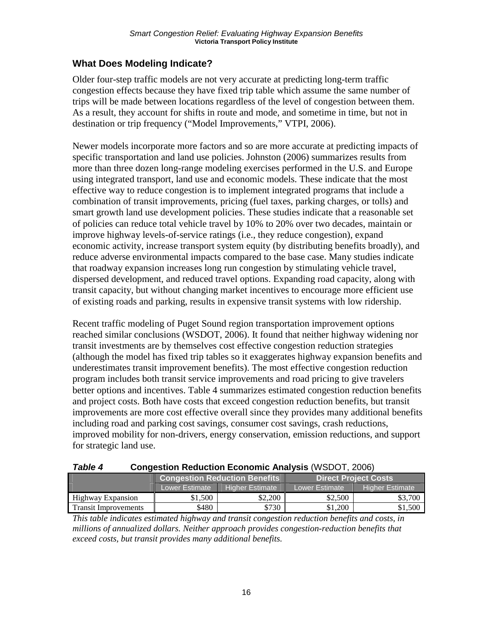### **What Does Modeling Indicate?**

Older four-step traffic models are not very accurate at predicting long-term traffic congestion effects because they have fixed trip table which assume the same number of trips will be made between locations regardless of the level of congestion between them. As a result, they account for shifts in route and mode, and sometime in time, but not in destination or trip frequency ("Model Improvements," VTPI, 2006).

Newer models incorporate more factors and so are more accurate at predicting impacts of specific transportation and land use policies. Johnston (2006) summarizes results from more than three dozen long-range modeling exercises performed in the U.S. and Europe using integrated transport, land use and economic models. These indicate that the most effective way to reduce congestion is to implement integrated programs that include a combination of transit improvements, pricing (fuel taxes, parking charges, or tolls) and smart growth land use development policies. These studies indicate that a reasonable set of policies can reduce total vehicle travel by 10% to 20% over two decades, maintain or improve highway levels-of-service ratings (i.e., they reduce congestion), expand economic activity, increase transport system equity (by distributing benefits broadly), and reduce adverse environmental impacts compared to the base case. Many studies indicate that roadway expansion increases long run congestion by stimulating vehicle travel, dispersed development, and reduced travel options. Expanding road capacity, along with transit capacity, but without changing market incentives to encourage more efficient use of existing roads and parking, results in expensive transit systems with low ridership.

Recent traffic modeling of Puget Sound region transportation improvement options reached similar conclusions (WSDOT, 2006). It found that neither highway widening nor transit investments are by themselves cost effective congestion reduction strategies (although the model has fixed trip tables so it exaggerates highway expansion benefits and underestimates transit improvement benefits). The most effective congestion reduction program includes both transit service improvements and road pricing to give travelers better options and incentives. Table 4 summarizes estimated congestion reduction benefits and project costs. Both have costs that exceed congestion reduction benefits, but transit improvements are more cost effective overall since they provides many additional benefits including road and parking cost savings, consumer cost savings, crash reductions, improved mobility for non-drivers, energy conservation, emission reductions, and support for strategic land use.

| I ANIC T<br><b>CONGESTION NEGACTION ECONOMIC ANAlySIS</b> (WODOT, 2000) |                |                                      |                             |                             |  |
|-------------------------------------------------------------------------|----------------|--------------------------------------|-----------------------------|-----------------------------|--|
|                                                                         |                | <b>Congestion Reduction Benefits</b> |                             | <b>Direct Project Costs</b> |  |
|                                                                         | Lower Estimate | <b>Higher Estimate</b>               | Lower Estimate <sup>1</sup> | <b>Higher Estimate</b>      |  |
| Highway Expansion                                                       | \$1,500        | \$2,200                              | \$2.500                     | \$3.700                     |  |
| <b>Transit Improvements</b>                                             | \$480          | \$730                                | \$1.200                     | \$1,500                     |  |

*Table 4* **Congestion Reduction Economic Analysis** (WSDOT, 2006)

*This table indicates estimated highway and transit congestion reduction benefits and costs, in millions of annualized dollars. Neither approach provides congestion-reduction benefits that exceed costs, but transit provides many additional benefits.*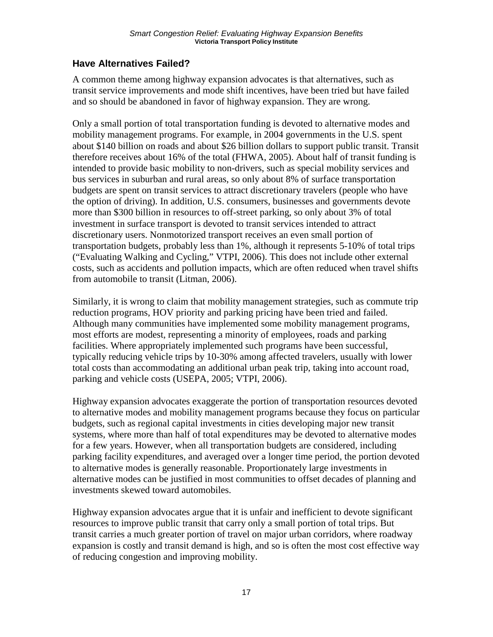# **Have Alternatives Failed?**

A common theme among highway expansion advocates is that alternatives, such as transit service improvements and mode shift incentives, have been tried but have failed and so should be abandoned in favor of highway expansion. They are wrong.

Only a small portion of total transportation funding is devoted to alternative modes and mobility management programs. For example, in 2004 governments in the U.S. spent about \$140 billion on roads and about \$26 billion dollars to support public transit. Transit therefore receives about 16% of the total (FHWA, 2005). About half of transit funding is intended to provide basic mobility to non-drivers, such as special mobility services and bus services in suburban and rural areas, so only about 8% of surface transportation budgets are spent on transit services to attract discretionary travelers (people who have the option of driving). In addition, U.S. consumers, businesses and governments devote more than \$300 billion in resources to off-street parking, so only about 3% of total investment in surface transport is devoted to transit services intended to attract discretionary users. Nonmotorized transport receives an even small portion of transportation budgets, probably less than 1%, although it represents 5-10% of total trips ("Evaluating Walking and Cycling," VTPI, 2006). This does not include other external costs, such as accidents and pollution impacts, which are often reduced when travel shifts from automobile to transit (Litman, 2006).

Similarly, it is wrong to claim that mobility management strategies, such as commute trip reduction programs, HOV priority and parking pricing have been tried and failed. Although many communities have implemented some mobility management programs, most efforts are modest, representing a minority of employees, roads and parking facilities. Where appropriately implemented such programs have been successful, typically reducing vehicle trips by 10-30% among affected travelers, usually with lower total costs than accommodating an additional urban peak trip, taking into account road, parking and vehicle costs (USEPA, 2005; VTPI, 2006).

Highway expansion advocates exaggerate the portion of transportation resources devoted to alternative modes and mobility management programs because they focus on particular budgets, such as regional capital investments in cities developing major new transit systems, where more than half of total expenditures may be devoted to alternative modes for a few years. However, when all transportation budgets are considered, including parking facility expenditures, and averaged over a longer time period, the portion devoted to alternative modes is generally reasonable. Proportionately large investments in alternative modes can be justified in most communities to offset decades of planning and investments skewed toward automobiles.

Highway expansion advocates argue that it is unfair and inefficient to devote significant resources to improve public transit that carry only a small portion of total trips. But transit carries a much greater portion of travel on major urban corridors, where roadway expansion is costly and transit demand is high, and so is often the most cost effective way of reducing congestion and improving mobility.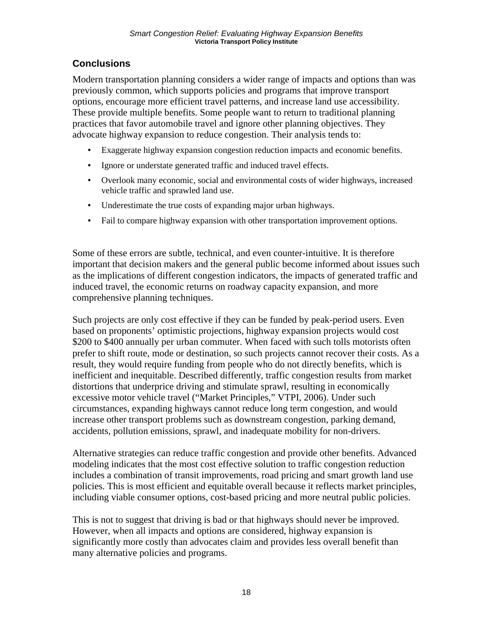# **Conclusions**

Modern transportation planning considers a wider range of impacts and options than was previously common, which supports policies and programs that improve transport options, encourage more efficient travel patterns, and increase land use accessibility. These provide multiple benefits. Some people want to return to traditional planning practices that favor automobile travel and ignore other planning objectives. They advocate highway expansion to reduce congestion. Their analysis tends to:

- Exaggerate highway expansion congestion reduction impacts and economic benefits.
- Ignore or understate generated traffic and induced travel effects.
- Overlook many economic, social and environmental costs of wider highways, increased vehicle traffic and sprawled land use.
- Underestimate the true costs of expanding major urban highways.
- Fail to compare highway expansion with other transportation improvement options.

Some of these errors are subtle, technical, and even counter-intuitive. It is therefore important that decision makers and the general public become informed about issues such as the implications of different congestion indicators, the impacts of generated traffic and induced travel, the economic returns on roadway capacity expansion, and more comprehensive planning techniques.

Such projects are only cost effective if they can be funded by peak-period users. Even based on proponents' optimistic projections, highway expansion projects would cost \$200 to \$400 annually per urban commuter. When faced with such tolls motorists often prefer to shift route, mode or destination, so such projects cannot recover their costs. As a result, they would require funding from people who do not directly benefits, which is inefficient and inequitable. Described differently, traffic congestion results from market distortions that underprice driving and stimulate sprawl, resulting in economically excessive motor vehicle travel ("Market Principles," VTPI, 2006). Under such circumstances, expanding highways cannot reduce long term congestion, and would increase other transport problems such as downstream congestion, parking demand, accidents, pollution emissions, sprawl, and inadequate mobility for non-drivers.

Alternative strategies can reduce traffic congestion and provide other benefits. Advanced modeling indicates that the most cost effective solution to traffic congestion reduction includes a combination of transit improvements, road pricing and smart growth land use policies. This is most efficient and equitable overall because it reflects market principles, including viable consumer options, cost-based pricing and more neutral public policies.

This is not to suggest that driving is bad or that highways should never be improved. However, when all impacts and options are considered, highway expansion is significantly more costly than advocates claim and provides less overall benefit than many alternative policies and programs.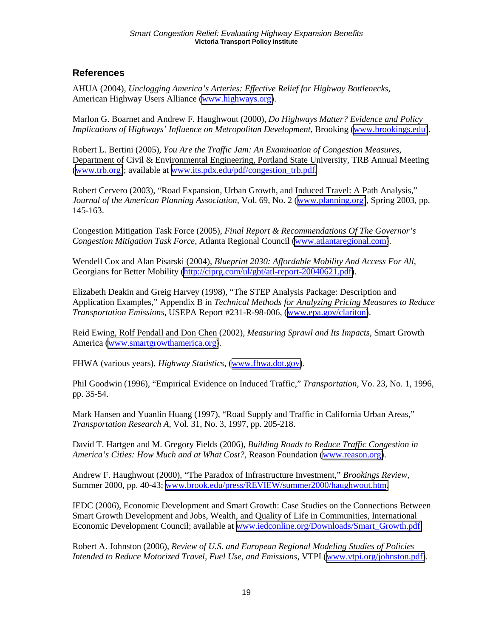#### **References**

AHUA (2004), *Unclogging America's Arteries: Effective Relief for Highway Bottlenecks*, American Highway Users Alliance ([www.highways.org\)](http://www.highways.org/).

Marlon G. Boarnet and Andrew F. Haughwout (2000), *Do Highways Matter? Evidence and Policy Implications of Highways' Influence on Metropolitan Development*, Brooking [\(www.brookings.edu\)](http://www.brookings.edu/).

Robert L. Bertini (2005), *You Are the Traffic Jam: An Examination of Congestion Measures*, Department of Civil & Environmental Engineering, Portland State University, TRB Annual Meeting ([www.trb.org\)](http://www.trb.org/); available at [www.its.pdx.edu/pdf/congestion\\_trb.pdf.](http://www.its.pdx.edu/pdf/congestion_trb.pdf)

Robert Cervero (2003), "Road Expansion, Urban Growth, and Induced Travel: A Path Analysis," *Journal of the American Planning Association*, Vol. 69, No. 2 ([www.planning.org\)](http://www.planning.org/), Spring 2003, pp. 145-163.

Congestion Mitigation Task Force (2005), *Final Report & Recommendations Of The Governor's Congestion Mitigation Task Force*, Atlanta Regional Council [\(www.atlantaregional.com\)](http://www.atlantaregional.com/).

Wendell Cox and Alan Pisarski (2004), *Blueprint 2030: Affordable Mobility And Access For All*, Georgians for Better Mobility [\(http://ciprg.com/ul/gbt/atl-report-20040621.pdf\)](http://ciprg.com/ul/gbt/atl-report-20040621.pdf).

Elizabeth Deakin and Greig Harvey (1998), "The STEP Analysis Package: Description and Application Examples," Appendix B in *Technical Methods for Analyzing Pricing Measures to Reduce Transportation Emissions*, USEPA Report #231-R-98-006, ([www.epa.gov/clariton\)](http://www.epa.gov/clariton).

Reid Ewing, Rolf Pendall and Don Chen (2002), *Measuring Sprawl and Its Impacts*, Smart Growth America [\(www.smartgrowthamerica.org\)](http://www.smartgrowthamerica.org/).

FHWA (various years), *Highway Statistics*, ([www.fhwa.dot.gov\)](http://www.fhwa.dot.gov/).

Phil Goodwin (1996), "Empirical Evidence on Induced Traffic," *Transportation*, Vo. 23, No. 1, 1996, pp. 35-54.

Mark Hansen and Yuanlin Huang (1997), "Road Supply and Traffic in California Urban Areas," *Transportation Research A*, Vol. 31, No. 3, 1997, pp. 205-218.

David T. Hartgen and M. Gregory Fields (2006), *Building Roads to Reduce Traffic Congestion in America's Cities: How Much and at What Cost?*, Reason Foundation ([www.reason.org\)](http://www.reason.org/).

Andrew F. Haughwout (2000), "The Paradox of Infrastructure Investment," *Brookings Review*, Summer 2000, pp. 40-43; [www.brook.edu/press/REVIEW/summer2000/haughwout.htm.](http://www.brook.edu/press/REVIEW/summer2000/haughwout.htm)

IEDC (2006), Economic Development and Smart Growth: Case Studies on the Connections Between Smart Growth Development and Jobs, Wealth, and Quality of Life in Communities, International Economic Development Council; available at [www.iedconline.org/Downloads/Smart\\_Growth.pdf.](http://www.iedconline.org/Downloads/Smart_Growth.pdf)

Robert A. Johnston (2006), *Review of U.S. and European Regional Modeling Studies of Policies Intended to Reduce Motorized Travel, Fuel Use, and Emissions*, VTPI ([www.vtpi.org/johnston.pdf\)](http://www.vtpi.org/johnston.pdf).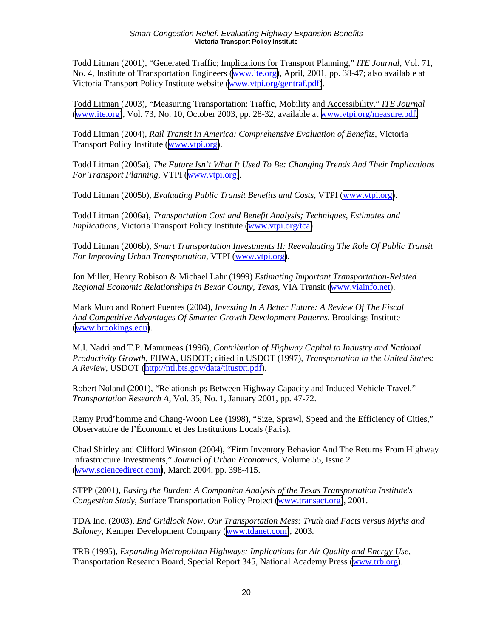Todd Litman (2001), "Generated Traffic; Implications for Transport Planning," *ITE Journal*, Vol. 71, No. 4, Institute of Transportation Engineers ([www.ite.org\)](http://www.ite.org/), April, 2001, pp. 38-47; also available at Victoria Transport Policy Institute website [\(www.vtpi.org/gentraf.pdf\)](http://www.vtpi.org/gentraf.pdf).

Todd Litman (2003), "Measuring Transportation: Traffic, Mobility and Accessibility," *ITE Journal* ([www.ite.org\)](http://www.ite.org/), Vol. 73, No. 10, October 2003, pp. 28-32, available at [www.vtpi.org/measure.pdf.](http://www.vtpi.org/measure.pdf)

Todd Litman (2004), *Rail Transit In America: Comprehensive Evaluation of Benefits*, Victoria Transport Policy Institute ([www.vtpi.org\)](http://www.vtpi.org/).

Todd Litman (2005a), *The Future Isn't What It Used To Be: Changing Trends And Their Implications For Transport Planning*, VTPI ([www.vtpi.org\)](http://www.vtpi.org/).

Todd Litman (2005b), *Evaluating Public Transit Benefits and Costs*, VTPI [\(www.vtpi.org\)](http://www.vtpi.org/).

Todd Litman (2006a), *Transportation Cost and Benefit Analysis; Techniques, Estimates and Implications*, Victoria Transport Policy Institute [\(www.vtpi.org/tca\)](http://www.vtpi.org/tca).

Todd Litman (2006b), *Smart Transportation Investments II: Reevaluating The Role Of Public Transit For Improving Urban Transportation*, VTPI [\(www.vtpi.org\)](http://www.vtpi.org/).

Jon Miller, Henry Robison & Michael Lahr (1999) *Estimating Important Transportation-Related Regional Economic Relationships in Bexar County, Texas*, VIA Transit ([www.viainfo.net\)](http://www.viainfo.net/).

Mark Muro and Robert Puentes (2004), *Investing In A Better Future: A Review Of The Fiscal And Competitive Advantages Of Smarter Growth Development Patterns*, Brookings Institute ([www.brookings.edu\)](http://www.brookings.edu/).

M.I. Nadri and T.P. Mamuneas (1996), *Contribution of Highway Capital to Industry and National Productivity Growth*, FHWA, USDOT; citied in USDOT (1997), *Transportation in the United States: A Review*, USDOT ([http://ntl.bts.gov/data/titustxt.pdf\)](http://ntl.bts.gov/data/titustxt.pdf).

Robert Noland (2001), "Relationships Between Highway Capacity and Induced Vehicle Travel," *Transportation Research A*, Vol. 35, No. 1, January 2001, pp. 47-72.

Remy Prud'homme and Chang-Woon Lee (1998), "Size, Sprawl, Speed and the Efficiency of Cities," Observatoire de l'Économic et des Institutions Locals (Paris).

Chad Shirley and Clifford Winston (2004), "Firm Inventory Behavior And The Returns From Highway Infrastructure Investments," *Journal of Urban Economics*, Volume 55, Issue 2 ([www.sciencedirect.com\)](http://www.sciencedirect.com/), March 2004, pp. 398-415.

STPP (2001), *Easing the Burden: A Companion Analysis of the Texas Transportation Institute's Congestion Study*, Surface Transportation Policy Project [\(www.transact.org\)](http://www.transact.org/), 2001.

TDA Inc. (2003), *End Gridlock Now, Our Transportation Mess: Truth and Facts versus Myths and Baloney*, Kemper Development Company ([www.tdanet.com\)](http://www.tdanet.com/), 2003.

TRB (1995), *Expanding Metropolitan Highways: Implications for Air Quality and Energy Use*, Transportation Research Board, Special Report 345, National Academy Press [\(www.trb.org\)](http://www.trb.org/).